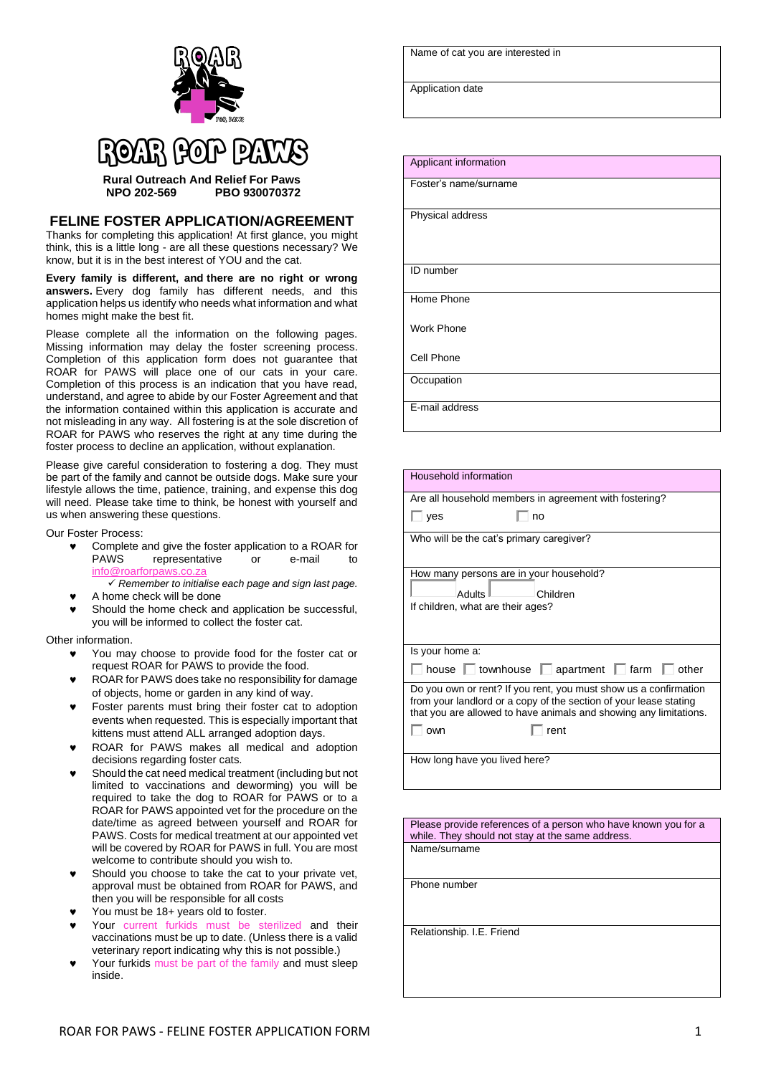

**Rural Outreach And Relief For Paws NPO 202-569 PBO 930070372**

## **FELINE FOSTER APPLICATION/AGREEMENT**

Thanks for completing this application! At first glance, you might think, this is a little long - are all these questions necessary? We know, but it is in the best interest of YOU and the cat.

**Every family is different, and there are no right or wrong answers.** Every dog family has different needs, and this application helps us identify who needs what information and what homes might make the best fit.

Please complete all the information on the following pages. Missing information may delay the foster screening process. Completion of this application form does not guarantee that ROAR for PAWS will place one of our cats in your care. Completion of this process is an indication that you have read, understand, and agree to abide by our Foster Agreement and that the information contained within this application is accurate and not misleading in any way. All fostering is at the sole discretion of ROAR for PAWS who reserves the right at any time during the foster process to decline an application, without explanation.

Please give careful consideration to fostering a dog. They must be part of the family and cannot be outside dogs. Make sure your lifestyle allows the time, patience, training, and expense this dog will need. Please take time to think, be honest with yourself and us when answering these questions.

Our Foster Process:

- Complete and give the foster application to a ROAR for<br>PAWS representative or e-mail to representative or e-mail info@roarforp
- ✓ *Remember to initialise each page and sign last page.*
- A home check will be done Should the home check and application be successful,
- you will be informed to collect the foster cat.

## Other information.

- You may choose to provide food for the foster cat or request ROAR for PAWS to provide the food.
- ROAR for PAWS does take no responsibility for damage of objects, home or garden in any kind of way.
- Foster parents must bring their foster cat to adoption events when requested. This is especially important that kittens must attend ALL arranged adoption days.
- ROAR for PAWS makes all medical and adoption decisions regarding foster cats.
- Should the cat need medical treatment (including but not limited to vaccinations and deworming) you will be required to take the dog to ROAR for PAWS or to a ROAR for PAWS appointed vet for the procedure on the date/time as agreed between yourself and ROAR for PAWS. Costs for medical treatment at our appointed vet will be covered by ROAR for PAWS in full. You are most welcome to contribute should you wish to.
- Should you choose to take the cat to your private vet, approval must be obtained from ROAR for PAWS, and then you will be responsible for all costs
- You must be 18+ years old to foster.
- Your current furkids must be sterilized and their vaccinations must be up to date. (Unless there is a valid veterinary report indicating why this is not possible.)
- Your furkids must be part of the family and must sleep inside.

Name of cat you are interested in

Application date

Applicant information Foster's name/surname Physical address ID number Home Phone Work Phone Cell Phone **Occupation** E-mail address

| Household information                                                                                                                                                                                      |  |  |
|------------------------------------------------------------------------------------------------------------------------------------------------------------------------------------------------------------|--|--|
| Are all household members in agreement with fostering?                                                                                                                                                     |  |  |
| l yes<br>no                                                                                                                                                                                                |  |  |
| Who will be the cat's primary caregiver?                                                                                                                                                                   |  |  |
|                                                                                                                                                                                                            |  |  |
| How many persons are in your household?                                                                                                                                                                    |  |  |
| Adults <sup>1</sup><br>$\Box$ Children                                                                                                                                                                     |  |  |
| If children, what are their ages?                                                                                                                                                                          |  |  |
|                                                                                                                                                                                                            |  |  |
| Is your home a:                                                                                                                                                                                            |  |  |
| $\Box$ house $\Box$ townhouse $\Box$ apartment $\Box$ farm $\Box$ other                                                                                                                                    |  |  |
| Do you own or rent? If you rent, you must show us a confirmation<br>from your landlord or a copy of the section of your lease stating<br>that you are allowed to have animals and showing any limitations. |  |  |
| rent<br>own                                                                                                                                                                                                |  |  |
|                                                                                                                                                                                                            |  |  |
| How long have you lived here?                                                                                                                                                                              |  |  |
|                                                                                                                                                                                                            |  |  |

Please provide references of a person who have known you for a while. They should not stay at the same address. Name/surname

Phone number

Relationship. I.E. Friend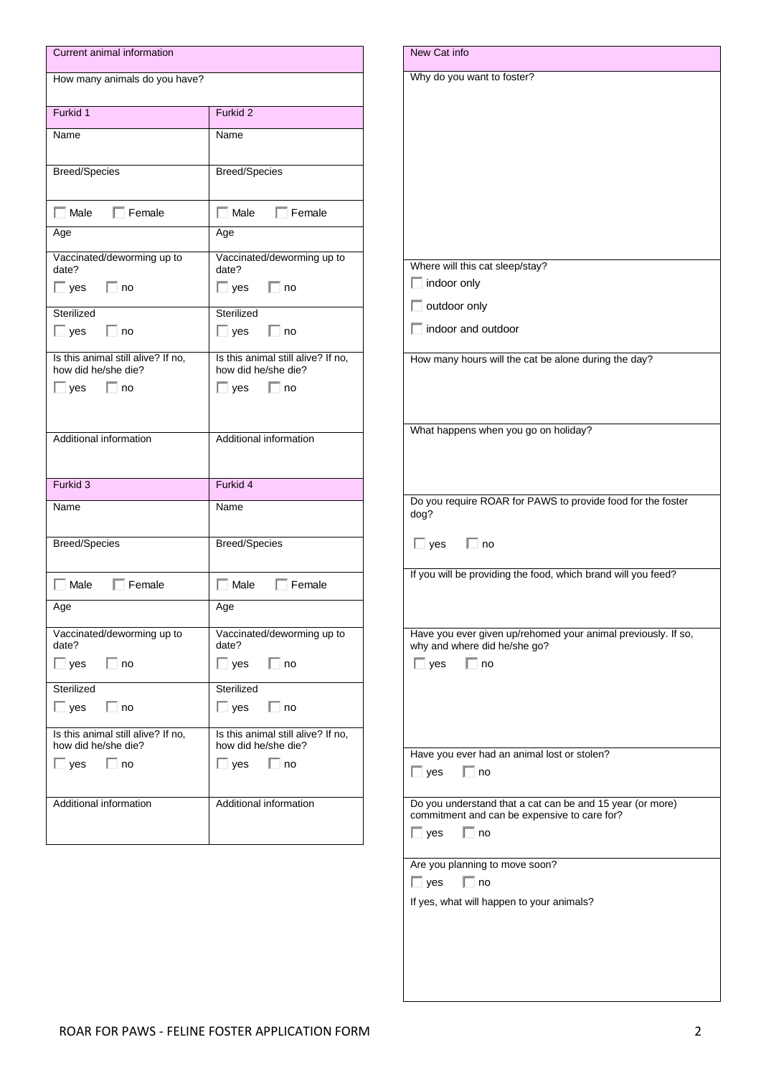| Current animal information                                |                                                           |  |
|-----------------------------------------------------------|-----------------------------------------------------------|--|
| How many animals do you have?                             |                                                           |  |
| Furkid 1                                                  | Furkid <sub>2</sub>                                       |  |
| Name                                                      | Name                                                      |  |
| <b>Breed/Species</b>                                      | Breed/Species                                             |  |
| $\Box$ Male $\Box$ Female                                 | $\Box$ Female<br>$\Box$ Male                              |  |
| Age                                                       | Age                                                       |  |
| Vaccinated/deworming up to<br>date?                       | Vaccinated/deworming up to<br>date?                       |  |
| $\Box$ yes $\Box$ no                                      | □ yes  □ no                                               |  |
| Sterilized                                                | Sterilized                                                |  |
| $\Box$ yes $\Box$ no                                      | $\Box$ yes $\Box$ no                                      |  |
| Is this animal still alive? If no,<br>how did he/she die? | Is this animal still alive? If no,<br>how did he/she die? |  |
| $\Box$ yes $\Box$ no                                      | yes no                                                    |  |
|                                                           |                                                           |  |
| Additional information                                    | Additional information                                    |  |
| Furkid 3                                                  | Furkid 4                                                  |  |
| Name                                                      | Name                                                      |  |
| <b>Breed/Species</b>                                      | <b>Breed/Species</b>                                      |  |
| Male Female                                               | Male Female                                               |  |
| Age                                                       | Age                                                       |  |
| Vaccinated/deworming up to<br>date?                       | Vaccinated/deworming up to<br>date?                       |  |
| $\Box$ yes $\Box$ no                                      | $\Box$ yes $\Box$ no                                      |  |
| Sterilized                                                | Sterilized                                                |  |
| $\Box$ yes $\Box$ no                                      | $\Box$ yes $\Box$ no                                      |  |
| Is this animal still alive? If no,<br>how did he/she die? | Is this animal still alive? If no,<br>how did he/she die? |  |
| $\Box$ yes $\Box$ no                                      | $\Box$ yes $\Box$ no                                      |  |
| Additional information                                    | Additional information                                    |  |

| New Cat info                                                                                              |  |
|-----------------------------------------------------------------------------------------------------------|--|
| Why do you want to foster?                                                                                |  |
|                                                                                                           |  |
|                                                                                                           |  |
|                                                                                                           |  |
|                                                                                                           |  |
|                                                                                                           |  |
|                                                                                                           |  |
|                                                                                                           |  |
|                                                                                                           |  |
| Where will this cat sleep/stay?                                                                           |  |
| $\Box$ indoor only                                                                                        |  |
| $\Box$ outdoor only                                                                                       |  |
| $\Box$ indoor and outdoor                                                                                 |  |
|                                                                                                           |  |
| How many hours will the cat be alone during the day?                                                      |  |
|                                                                                                           |  |
|                                                                                                           |  |
| What happens when you go on holiday?                                                                      |  |
|                                                                                                           |  |
|                                                                                                           |  |
| Do you require ROAR for PAWS to provide food for the foster                                               |  |
| dog?                                                                                                      |  |
| $\Box$ yes $\Box$ no                                                                                      |  |
|                                                                                                           |  |
| If you will be providing the food, which brand will you feed?                                             |  |
|                                                                                                           |  |
|                                                                                                           |  |
| Have you ever given up/rehomed your animal previously. If so,<br>why and where did he/she go?             |  |
| $\Box$ no<br>$\Box$ yes                                                                                   |  |
|                                                                                                           |  |
|                                                                                                           |  |
|                                                                                                           |  |
| Have you ever had an animal lost or stolen?                                                               |  |
| $\Box$ yes<br>  no                                                                                        |  |
|                                                                                                           |  |
| Do you understand that a cat can be and 15 year (or more)<br>commitment and can be expensive to care for? |  |
| $\vert$ yes<br>  no                                                                                       |  |
|                                                                                                           |  |
| Are you planning to move soon?                                                                            |  |
| $\Box$ no<br>$\Box$ yes                                                                                   |  |
| If yes, what will happen to your animals?                                                                 |  |
|                                                                                                           |  |
|                                                                                                           |  |
|                                                                                                           |  |
|                                                                                                           |  |